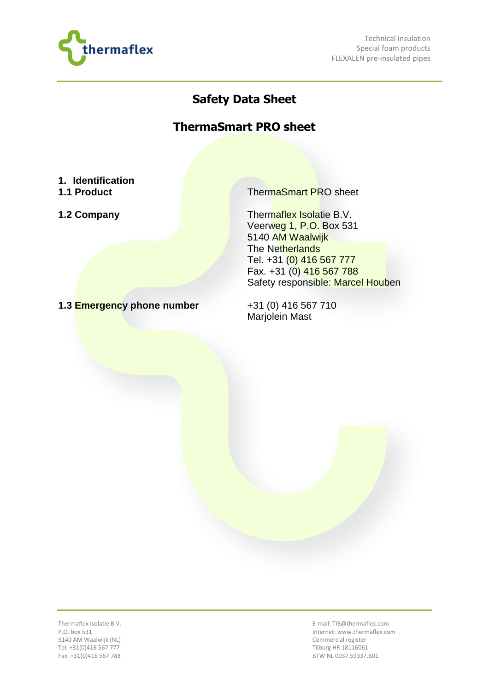

Technical insulation Special foam products FLEXALEN pre-insulated pipes

## **Safety Data Sheet**

## **ThermaSmart PRO sheet**

## **1. Identification**

- 
- 

**1.1 Product** ThermaSmart PRO sheet

**1.2 Company Thermaflex Isolatie B.V.** Veerweg 1, P.O. Box 531 5140 AM Waalwijk The Netherlands Tel. +31 (0) 416 567 777 Fax. +31 (0) 416 567 788 Safety responsible: Marcel Houben

**1.3 Emergency phone number** +31 (0) 416 567 710

Marjolein Mast

Thermaflex Isolatie B.V. P.O. box 531 5140 AM Waalwijk (NL) Tel. +31(0)416 567 777 Fax. +31(0)416 567 788

E-mail: TIB@thermaflex.com Internet: www.thermaflex.com Commercial register Tilburg HR 18116061 BTW NL 0037.59337.B01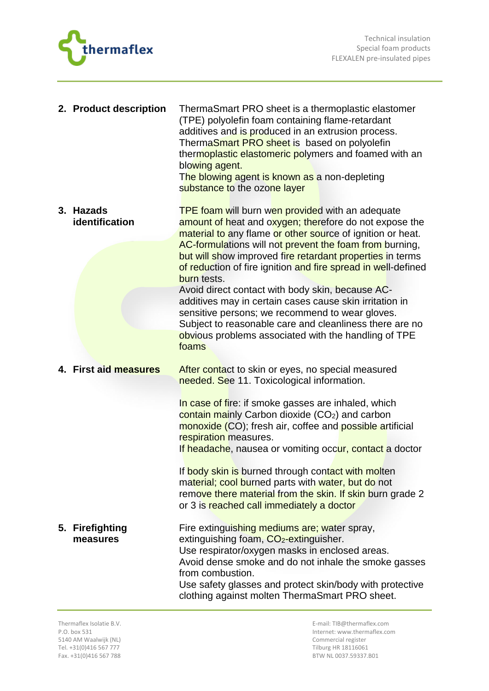



| 2. Product description      | ThermaSmart PRO sheet is a thermoplastic elastomer<br>(TPE) polyolefin foam containing flame-retardant<br>additives and is produced in an extrusion process.<br>ThermaSmart PRO sheet is based on polyolefin<br>thermoplastic elastomeric polymers and foamed with an<br>blowing agent.<br>The blowing agent is known as a non-depleting<br>substance to the ozone layer                                                                                                                                                                                                                                                                                                              |
|-----------------------------|---------------------------------------------------------------------------------------------------------------------------------------------------------------------------------------------------------------------------------------------------------------------------------------------------------------------------------------------------------------------------------------------------------------------------------------------------------------------------------------------------------------------------------------------------------------------------------------------------------------------------------------------------------------------------------------|
| 3. Hazads<br>identification | <b>TPE foam will burn wen provided with an adequate</b><br>amount of heat and oxygen; therefore do not expose the<br>material to any flame or other source of ignition or heat.<br>AC-formulations will not prevent the foam from burning,<br>but will show improved fire retardant properties in terms<br>of reduction of fire ignition and fire spread in well-defined<br>burn tests.<br>Avoid direct contact with body skin, because AC-<br>additives may in certain cases cause skin irritation in<br>sensitive persons; we recommend to wear gloves.<br>Subject to reasonable care and cleanliness there are no<br>obvious problems associated with the handling of TPE<br>foams |
| 4. First aid measures       | After contact to skin or eyes, no special measured<br>needed. See 11. Toxicological information.<br>In case of fire: if smoke gasses are inhaled, which<br>contain mainly Carbon dioxide (CO <sub>2</sub> ) and carbon<br>monoxide (CO); fresh air, coffee and possible artificial<br>respiration measures.<br>If headache, nausea or vomiting occur, contact a doctor<br>If body skin is burned through contact with molten<br>material; cool burned parts with water, but do not<br>remove there material from the skin. If skin burn grade 2<br>or 3 is reached call immediately a doctor                                                                                          |
| 5. Firefighting<br>measures | Fire extinguishing mediums are; water spray,<br>extinguishing foam, CO <sub>2</sub> -extinguisher.<br>Use respirator/oxygen masks in enclosed areas.<br>Avoid dense smoke and do not inhale the smoke gasses<br>from combustion.<br>Use safety glasses and protect skin/body with protective<br>clothing against molten ThermaSmart PRO sheet.                                                                                                                                                                                                                                                                                                                                        |

Thermaflex Isolatie B.V. P.O. box 531 5140 AM Waalwijk (NL) Tel. +31(0)416 567 777 Fax. +31(0)416 567 788

E-mail: TIB@thermaflex.com Internet: www.thermaflex.com Commercial register Tilburg HR 18116061 BTW NL 0037.59337.B01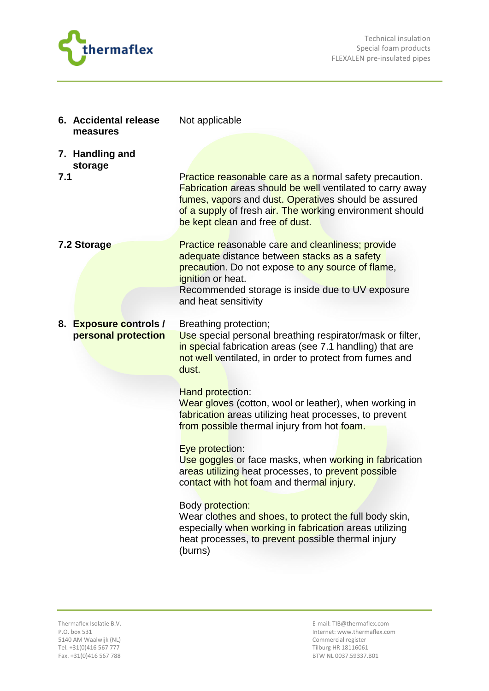

|     | 6. Accidental release<br>measures             | Not applicable                                                                                                                                                                                                                                                                     |
|-----|-----------------------------------------------|------------------------------------------------------------------------------------------------------------------------------------------------------------------------------------------------------------------------------------------------------------------------------------|
|     | 7. Handling and<br>storage                    |                                                                                                                                                                                                                                                                                    |
| 7.1 |                                               | Practice reasonable care as a normal safety precaution.<br><b>Fabrication areas should be well ventilated to carry away</b><br>fumes, vapors and dust. Operatives should be assured<br>of a supply of fresh air. The working environment should<br>be kept clean and free of dust. |
|     | 7.2 Storage                                   | <b>Practice reasonable care and cleanliness; provide</b><br>adequate distance between stacks as a safety<br>precaution. Do not expose to any source of flame,<br>ignition or heat.<br>Recommended storage is inside due to UV exposure<br>and heat sensitivity                     |
|     |                                               |                                                                                                                                                                                                                                                                                    |
|     | 8. Exposure controls /<br>personal protection | Breathing protection;<br>Use special personal breathing respirator/mask or filter,<br>in special fabrication areas (see 7.1 handling) that are<br>not well ventilated, in order to protect from fumes and<br>dust.                                                                 |
|     |                                               | <b>Hand protection:</b><br>Wear gloves (cotton, wool or leather), when working in<br>fabrication areas utilizing heat processes, to prevent<br>from possible thermal injury from hot foam.                                                                                         |
|     |                                               | Eye protection:<br>Use goggles or face masks, when working in fabrication<br>areas utilizing heat processes, to prevent possible<br>contact with hot foam and thermal injury.                                                                                                      |
|     |                                               | Body protection:<br>Wear clothes and shoes, to protect the full body skin,<br>especially when working in fabrication areas utilizing<br>heat processes, to prevent possible thermal injury<br>(burns)                                                                              |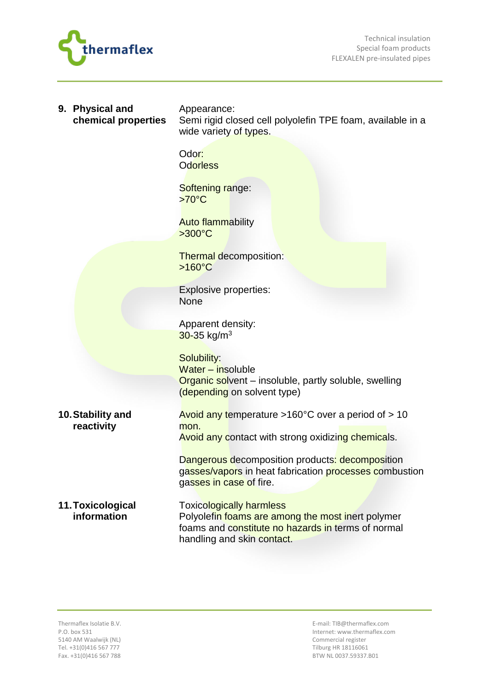

| 9. Physical and<br>chemical properties | Appearance:<br>Semi rigid closed cell polyolefin TPE foam, available in a<br>wide variety of types.                                        |
|----------------------------------------|--------------------------------------------------------------------------------------------------------------------------------------------|
|                                        | Odor:<br><b>Odorless</b>                                                                                                                   |
|                                        | Softening range:<br>$>70^{\circ}$ C                                                                                                        |
|                                        | <b>Auto flammability</b><br>$>300^{\circ}$ C                                                                                               |
|                                        | <b>Thermal decomposition:</b><br>$>160^{\circ}$ C                                                                                          |
|                                        | <b>Explosive properties:</b><br>None                                                                                                       |
|                                        | Apparent density:<br>$30 - 35$ kg/m <sup>3</sup>                                                                                           |
|                                        | Solubility:<br>Water - insoluble<br><b>Organic solvent</b> – insoluble, partly soluble, swelling<br>(depending on solvent type)            |
| 10. Stability and<br>reactivity        | Avoid any temperature $>160^{\circ}$ C over a period of $>10$<br>mon.<br><b>Avoid any contact with strong oxidizing chemicals.</b>         |
|                                        | Dangerous decomposition products: decomposition<br>gasses/vapors in heat fabrication processes combustion<br>gasses in case of fire.       |
| 11. Toxicological<br>information       | <b>Toxicologically harmless</b><br>Polyolefin foams are among the most inert polymer<br>foams and constitute no hazards in terms of normal |

handling and skin contact.